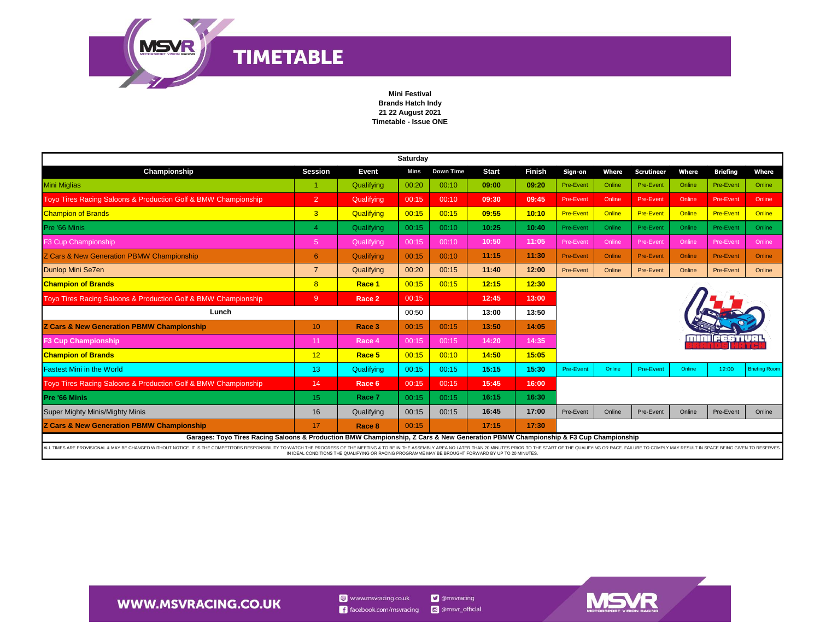

## **Mini Festival Brands Hatch Indy 21 22 August 2021 Timetable - Issue ONE**

| Saturday                                                                                                                                                                                                                       |                 |                                                                                                    |       |           |              |               |                  |        |                   |        |                  |                      |
|--------------------------------------------------------------------------------------------------------------------------------------------------------------------------------------------------------------------------------|-----------------|----------------------------------------------------------------------------------------------------|-------|-----------|--------------|---------------|------------------|--------|-------------------|--------|------------------|----------------------|
| Championship                                                                                                                                                                                                                   | <b>Session</b>  | Event                                                                                              | Mins  | Down Time | <b>Start</b> | <b>Finish</b> | Sign-on          | Where  | <b>Scrutineer</b> | Where  | <b>Briefing</b>  | Where                |
| <b>Mini Miglias</b>                                                                                                                                                                                                            | -1              | Qualifying                                                                                         | 00:20 | 00:10     | 09:00        | 09:20         | Pre-Event        | Online | Pre-Event         | Online | Pre-Event        | Online               |
| Toyo Tires Racing Saloons & Production Golf & BMW Championship                                                                                                                                                                 | $\overline{2}$  | Qualifying                                                                                         | 00:15 | 00:10     | 09:30        | 09:45         | Pre-Event        | Online | Pre-Event         | Online | Pre-Event        | Online               |
| <b>Champion of Brands</b>                                                                                                                                                                                                      | 3               | Qualifying                                                                                         | 00:15 | 00:15     | 09:55        | 10:10         | <b>Pre-Event</b> | Online | <b>Pre-Event</b>  | Online | <b>Pre-Event</b> | Online               |
| Pre '66 Minis                                                                                                                                                                                                                  | Δ               | Qualifying                                                                                         | 00:15 | 00:10     | 10:25        | 10:40         | Pre-Event        | Online | Pre-Event         | Online | Pre-Event        | Online               |
| F3 Cup Championship                                                                                                                                                                                                            | 5 <sup>5</sup>  | Qualifying                                                                                         | 00:15 | 00:10     | 10:50        | 11:05         | Pre-Event        | Online | Pre-Event         | Online | Pre-Event        | Online               |
| Z Cars & New Generation PBMW Championship                                                                                                                                                                                      | 6               | Qualifying                                                                                         | 00:15 | 00:10     | 11:15        | 11:30         | <b>Pre-Event</b> | Online | <b>Pre-Event</b>  | Online | <b>Pre-Event</b> | Online               |
| Dunlop Mini Se7en                                                                                                                                                                                                              | $\overline{7}$  | Qualifying                                                                                         | 00:20 | 00:15     | 11:40        | 12:00         | Pre-Event        | Online | Pre-Event         | Online | Pre-Event        | Online               |
| <b>Champion of Brands</b>                                                                                                                                                                                                      | 8               | Race 1                                                                                             | 00:15 | 00:15     | 12:15        | 12:30         |                  |        |                   |        |                  |                      |
| Toyo Tires Racing Saloons & Production Golf & BMW Championship                                                                                                                                                                 | 9               | Race 2                                                                                             | 00:15 |           | 12:45        | 13:00         |                  |        |                   |        |                  |                      |
| Lunch                                                                                                                                                                                                                          |                 |                                                                                                    | 00:50 |           | 13:00        | 13:50         |                  |        |                   |        |                  |                      |
| Z Cars & New Generation PBMW Championship                                                                                                                                                                                      | 10 <sup>°</sup> | Race 3                                                                                             | 00:15 | 00:15     | 13:50        | 14:05         |                  |        |                   |        |                  |                      |
| <b>F3 Cup Championship</b>                                                                                                                                                                                                     | 11              | Race 4                                                                                             | 00:15 | 00:15     | 14:20        | 14:35         |                  |        |                   |        |                  |                      |
| <b>Champion of Brands</b>                                                                                                                                                                                                      | 12              | Race 5                                                                                             | 00:15 | 00:10     | 14:50        | 15:05         |                  |        |                   |        |                  |                      |
| <b>Fastest Mini in the World</b>                                                                                                                                                                                               | 13 <sup>°</sup> | Qualifying                                                                                         | 00:15 | 00:15     | 15:15        | 15:30         | <b>Pre-Event</b> | Online | <b>Pre-Event</b>  | Online | 12:00            | <b>Briefing Room</b> |
| Toyo Tires Racing Saloons & Production Golf & BMW Championship                                                                                                                                                                 | 14              | Race 6                                                                                             | 00:15 | 00:15     | 15:45        | 16:00         |                  |        |                   |        |                  |                      |
| <b>Pre '66 Minis</b>                                                                                                                                                                                                           | 15 <sub>1</sub> | Race 7                                                                                             | 00:15 | 00:15     | 16:15        | 16:30         |                  |        |                   |        |                  |                      |
| <b>Super Mighty Minis/Mighty Minis</b>                                                                                                                                                                                         | 16              | Qualifying                                                                                         | 00:15 | 00:15     | 16:45        | 17:00         | Pre-Event        | Online | Pre-Event         | Online | Pre-Event        | Online               |
| Z Cars & New Generation PBMW Championship                                                                                                                                                                                      | 17              | Race 8                                                                                             | 00:15 |           | 17:15        | 17:30         |                  |        |                   |        |                  |                      |
| Garages: Toyo Tires Racing Saloons & Production BMW Championship, Z Cars & New Generation PBMW Championship & F3 Cup Championship                                                                                              |                 |                                                                                                    |       |           |              |               |                  |        |                   |        |                  |                      |
| ALL TIMES ARE PROVISIONAL & MAY BE CHANGED WITHOUT NOTICE. IT IS THE COMPETITORS RESPONSIBILITY TO WATCH THE PROGRESS OF THE MEETING & TO BE IN THE ASSEMBLY AREA NO LATER THAN 20 MINUTES PRIOR TO THE START OF THE QUALIFYIN |                 | IN IDEAL CONDITIONS THE QUALIFYING OR RACING PROGRAMME MAY BE BROUGHT FORWARD BY UP TO 20 MINUTES. |       |           |              |               |                  |        |                   |        |                  |                      |



## **WWW.MSVRACING.CO.UK**

 $\bigcirc$  www.msvracing.co.uk **D** @msvracing  $\left| \right|$  facebook.com/msvracing @ @msvr\_official